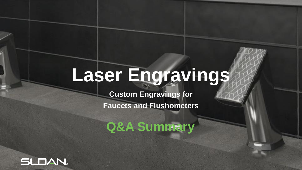# **Laser Engravings**

**Custom Engravings for** 

**Faucets and Flushometers**

**Q&A Summary**

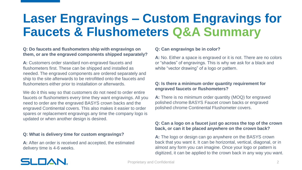#### **Q: Do faucets and flushometers ship with engravings on them, or are the engraved components shipped separately?**

**A:** Customers order standard non-engraved faucets and flushometers first. These can be shipped and installed as needed. The engraved components are ordered separately and ship to the site afterwards to be retrofitted onto the faucets and flushometers either prior to installation or afterwards.

We do it this way so that customers do not need to order entire faucets or flushometers every time they want engravings. All you need to order are the engraved BASYS crown backs and the engraved Continental covers. This also makes it easier to order spares or replacement engravings any time the company logo is updated or when another design is desired.

#### **Q: What is delivery time for custom engravings?**

**A:** After an order is received and accepted, the estimated delivery time is 4-6 weeks.

### **Q: Can engravings be in color?**

**A:** No. Either a space is engraved or it is not. There are no colors or "shades" of engravings. This is why we ask for a black and white "vector drawing" of a logo or pattern.

#### **Q: Is there a minimum order quantity requirement for engraved faucets or flushometers?**

**A:** There is no minimum order quantity (MOQ) for engraved polished chrome BASYS Faucet crown backs or engraved polished chrome Continental Flushometer covers.

### **Q: Can a logo on a faucet just go across the top of the crown back, or can it be placed anywhere on the crown back?**

**A:** The logo or design can go anywhere on the BASYS crown back that you want it. It can be horizontal, vertical, diagonal, or in almost any form you can imagine. Once your logo or pattern is digitized, it can be applied to the crown back in any way you want.

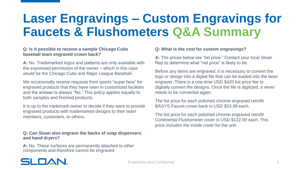#### **Q: Is it possible to receive a sample Chicago Cubs baseball team engraved crown back?**

**A:** No. Trademarked logos and patterns are only available with the expressed permission of the owner – which in this case would be the Chicago Cubs and Major League Baseball.

We occasionally receive requests from sports "super fans" for engraved products that they have seen in customized facilities and the answer is always "No." This policy applies equally to both samples and finished products.

It is up to the trademark owner to decide if they want to provide engraved products with trademarked designs to their team members, customers, or others.

#### **Q: Can Sloan also engrave the backs of soap dispensers and hand dryers?**

**A:** No. These surfaces are permanently attached to other components and therefore cannot be engraved.

### **Q: What is the cost for custom engravings?**

**A:** The prices below are "list price." Contact your local Sloan Rep to determine what "net price" is likely to be.

Before any items are engraved, it is necessary to convert the logo or design into a digital file that can be loaded into the laser engraver. There is a one-time USD \$420 list price fee to digitally convert the designs. Once the file is digitized, it never needs to be converted again.

The list price for each polished chrome engraved retrofit BASYS Faucet crown back is USD \$53.98 each.

The list price for each polished chrome engraved retrofit Continental Flushometer cover is USD \$122.00 each. This price includes the inside cover for the unit.

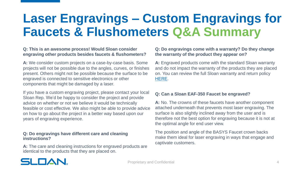#### **Q: This is an awesome process! Would Sloan consider engraving other products besides faucets & flushometers?**

**A:** We consider custom projects on a case-by-case basis. Some projects will not be possible due to the angles, curves, or finishes present. Others might not be possible because the surface to be engraved is connected to sensitive electronics or other components that might be damaged by a laser.

If you have a custom engraving project, please contact your local Sloan Rep. We'd be happy to consider the project and provide advice on whether or not we believe it would be technically feasible or cost effective. We also might be able to provide advice on how to go about the project in a better way based upon our years of engraving experience.

#### **Q: Do engravings have different care and cleaning instructions?**

**A:** The care and cleaning instructions for engraved products are identical to the products that they are placed on.

### **Q: Do engravings come with a warranty? Do they change the warranty of the product they appear on?**

A: Engraved products come with the standard Sloan warranty and do not impact the warranty of the products they are placed on. You can review the full Sloan warranty and return policy [HERE](https://www.sloan.com/resources/product-resources/warranty-information).

#### **Q: Can a Sloan EAF-350 Faucet be engraved?**

**A:** No. The crowns of these faucets have another component attached underneath that prevents most laser engraving. The surface is also slightly inclined away from the user and is therefore not the best option for engraving because it is not at the optimal angle for end user view.

The position and angle of the BASYS Faucet crown backs make them ideal for laser engraving in ways that engage and captivate customers.

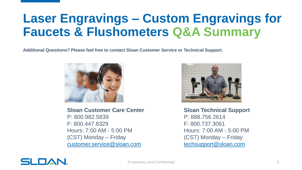**Additional Questions? Please feel free to contact Sloan Customer Service or Technical Support.**



**Sloan Customer Care Center** P: 800.982.5839 F: 800.447.8329 Hours: 7:00 AM - 5:00 PM (CST) Monday – Friday [customer.service@sloan.com](mailto:customer.service@sloan.com)



**Sloan Technical Support** P: 888.756.2614 F: 800.737.3061 Hours: 7:00 AM - 5:00 PM (CST) Monday – Friday [techsupport@sloan.com](mailto:techsupport@sloan.com)